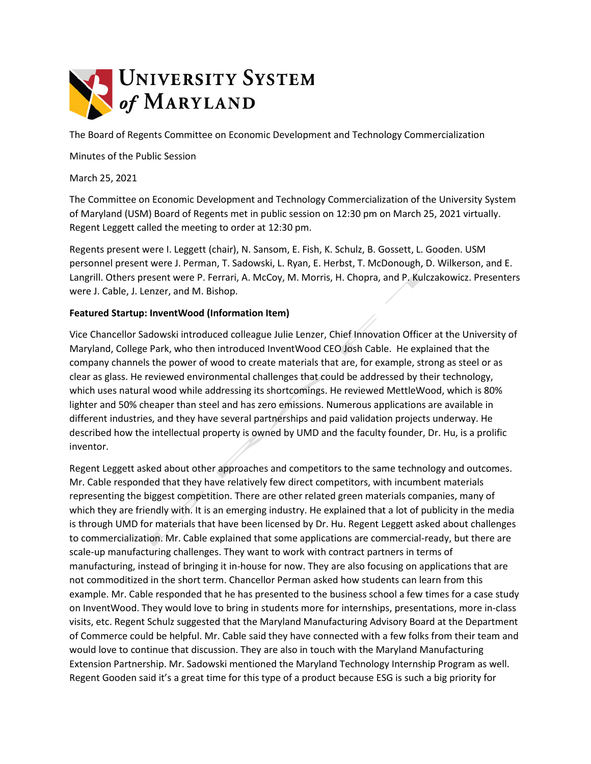

The Board of Regents Committee on Economic Development and Technology Commercialization

Minutes of the Public Session

March 25, 2021

The Committee on Economic Development and Technology Commercialization of the University System of Maryland (USM) Board of Regents met in public session on 12:30 pm on March 25, 2021 virtually. Regent Leggett called the meeting to order at 12:30 pm.

Regents present were I. Leggett (chair), N. Sansom, E. Fish, K. Schulz, B. Gossett, L. Gooden. USM personnel present were J. Perman, T. Sadowski, L. Ryan, E. Herbst, T. McDonough, D. Wilkerson, and E. Langrill. Others present were P. Ferrari, A. McCoy, M. Morris, H. Chopra, and P. Kulczakowicz. Presenters were J. Cable, J. Lenzer, and M. Bishop.

## **Featured Startup: InventWood (Information Item)**

Vice Chancellor Sadowski introduced colleague Julie Lenzer, Chief Innovation Officer at the University of Maryland, College Park, who then introduced InventWood CEO Josh Cable. He explained that the company channels the power of wood to create materials that are, for example, strong as steel or as clear as glass. He reviewed environmental challenges that could be addressed by their technology, which uses natural wood while addressing its shortcomings. He reviewed MettleWood, which is 80% lighter and 50% cheaper than steel and has zero emissions. Numerous applications are available in different industries, and they have several partnerships and paid validation projects underway. He described how the intellectual property is owned by UMD and the faculty founder, Dr. Hu, is a prolific inventor.

Regent Leggett asked about other approaches and competitors to the same technology and outcomes. Mr. Cable responded that they have relatively few direct competitors, with incumbent materials representing the biggest competition. There are other related green materials companies, many of which they are friendly with. It is an emerging industry. He explained that a lot of publicity in the media is through UMD for materials that have been licensed by Dr. Hu. Regent Leggett asked about challenges to commercialization. Mr. Cable explained that some applications are commercial-ready, but there are scale-up manufacturing challenges. They want to work with contract partners in terms of manufacturing, instead of bringing it in-house for now. They are also focusing on applications that are not commoditized in the short term. Chancellor Perman asked how students can learn from this example. Mr. Cable responded that he has presented to the business school a few times for a case study on InventWood. They would love to bring in students more for internships, presentations, more in-class visits, etc. Regent Schulz suggested that the Maryland Manufacturing Advisory Board at the Department of Commerce could be helpful. Mr. Cable said they have connected with a few folks from their team and would love to continue that discussion. They are also in touch with the Maryland Manufacturing Extension Partnership. Mr. Sadowski mentioned the Maryland Technology Internship Program as well. Regent Gooden said it's a great time for this type of a product because ESG is such a big priority for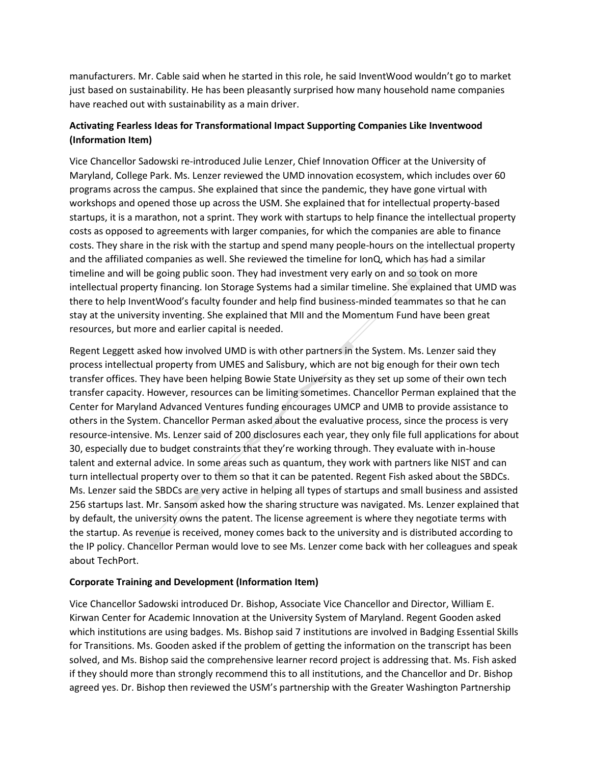manufacturers. Mr. Cable said when he started in this role, he said InventWood wouldn't go to market just based on sustainability. He has been pleasantly surprised how many household name companies have reached out with sustainability as a main driver.

## **Activating Fearless Ideas for Transformational Impact Supporting Companies Like Inventwood (Information Item)**

Vice Chancellor Sadowski re-introduced Julie Lenzer, Chief Innovation Officer at the University of Maryland, College Park. Ms. Lenzer reviewed the UMD innovation ecosystem, which includes over 60 programs across the campus. She explained that since the pandemic, they have gone virtual with workshops and opened those up across the USM. She explained that for intellectual property-based startups, it is a marathon, not a sprint. They work with startups to help finance the intellectual property costs as opposed to agreements with larger companies, for which the companies are able to finance costs. They share in the risk with the startup and spend many people-hours on the intellectual property and the affiliated companies as well. She reviewed the timeline for IonQ, which has had a similar timeline and will be going public soon. They had investment very early on and so took on more intellectual property financing. Ion Storage Systems had a similar timeline. She explained that UMD was there to help InventWood's faculty founder and help find business-minded teammates so that he can stay at the university inventing. She explained that MII and the Momentum Fund have been great resources, but more and earlier capital is needed.

Regent Leggett asked how involved UMD is with other partners in the System. Ms. Lenzer said they process intellectual property from UMES and Salisbury, which are not big enough for their own tech transfer offices. They have been helping Bowie State University as they set up some of their own tech transfer capacity. However, resources can be limiting sometimes. Chancellor Perman explained that the Center for Maryland Advanced Ventures funding encourages UMCP and UMB to provide assistance to others in the System. Chancellor Perman asked about the evaluative process, since the process is very resource-intensive. Ms. Lenzer said of 200 disclosures each year, they only file full applications for about 30, especially due to budget constraints that they're working through. They evaluate with in-house talent and external advice. In some areas such as quantum, they work with partners like NIST and can turn intellectual property over to them so that it can be patented. Regent Fish asked about the SBDCs. Ms. Lenzer said the SBDCs are very active in helping all types of startups and small business and assisted 256 startups last. Mr. Sansom asked how the sharing structure was navigated. Ms. Lenzer explained that by default, the university owns the patent. The license agreement is where they negotiate terms with the startup. As revenue is received, money comes back to the university and is distributed according to the IP policy. Chancellor Perman would love to see Ms. Lenzer come back with her colleagues and speak about TechPort.

## **Corporate Training and Development (Information Item)**

Vice Chancellor Sadowski introduced Dr. Bishop, Associate Vice Chancellor and Director, William E. Kirwan Center for Academic Innovation at the University System of Maryland. Regent Gooden asked which institutions are using badges. Ms. Bishop said 7 institutions are involved in Badging Essential Skills for Transitions. Ms. Gooden asked if the problem of getting the information on the transcript has been solved, and Ms. Bishop said the comprehensive learner record project is addressing that. Ms. Fish asked if they should more than strongly recommend this to all institutions, and the Chancellor and Dr. Bishop agreed yes. Dr. Bishop then reviewed the USM's partnership with the Greater Washington Partnership